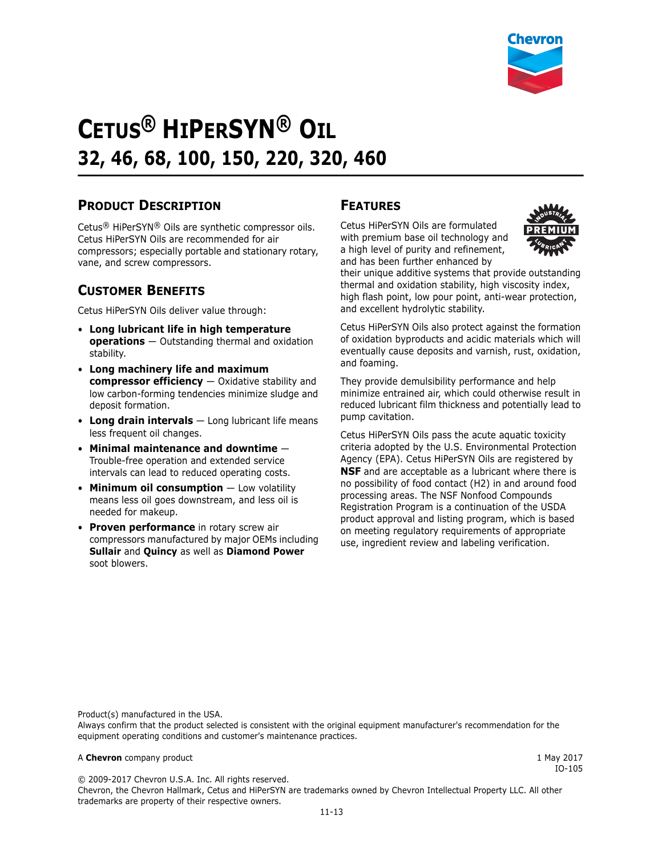Chevron, the Chevron Hallmark, Cetus and HiPerSYN are trademarks owned by Chevron Intellectual Property LLC. All other



# **CETUS® HIPERSYN® OIL 32, 46, 68, 100, 150, 220, 320, 460**

### **PRODUCT DESCRIPTION**

Cetus® HiPerSYN® Oils are synthetic compressor oils. Cetus HiPerSYN Oils are recommended for air compressors; especially portable and stationary rotary, vane, and screw compressors.

### **CUSTOMER BENEFITS**

Cetus HiPerSYN Oils deliver value through:

- **Long lubricant life in high temperature operations** — Outstanding thermal and oxidation stability.
- **Long machinery life and maximum compressor efficiency** — Oxidative stability and low carbon-forming tendencies minimize sludge and deposit formation.
- **Long drain intervals** Long lubricant life means less frequent oil changes.
- **Minimal maintenance and downtime** Trouble-free operation and extended service intervals can lead to reduced operating costs.
- **Minimum oil consumption** Low volatility means less oil goes downstream, and less oil is needed for makeup.
- **Proven performance** in rotary screw air compressors manufactured by major OEMs including **Sullair** and **Quincy** as well as **Diamond Power** soot blowers.

### **FEATURES**

Cetus HiPerSYN Oils are formulated with premium base oil technology and a high level of purity and refinement, and has been further enhanced by



their unique additive systems that provide outstanding thermal and oxidation stability, high viscosity index, high flash point, low pour point, anti-wear protection, and excellent hydrolytic stability.

Cetus HiPerSYN Oils also protect against the formation of oxidation byproducts and acidic materials which will eventually cause deposits and varnish, rust, oxidation, and foaming.

They provide demulsibility performance and help minimize entrained air, which could otherwise result in reduced lubricant film thickness and potentially lead to pump cavitation.

Cetus HiPerSYN Oils pass the acute aquatic toxicity criteria adopted by the U.S. Environmental Protection Agency (EPA). Cetus HiPerSYN Oils are registered by **NSF** and are acceptable as a lubricant where there is no possibility of food contact (H2) in and around food processing areas. The NSF Nonfood Compounds Registration Program is a continuation of the USDA product approval and listing program, which is based on meeting regulatory requirements of appropriate use, ingredient review and labeling verification.

Product(s) manufactured in the USA.

© 2009-2017 Chevron U.S.A. Inc. All rights reserved.

trademarks are property of their respective owners.

Always confirm that the product selected is consistent with the original equipment manufacturer's recommendation for the equipment operating conditions and customer's maintenance practices.

#### A **Chevron** company product **1 May 2017**

IO-105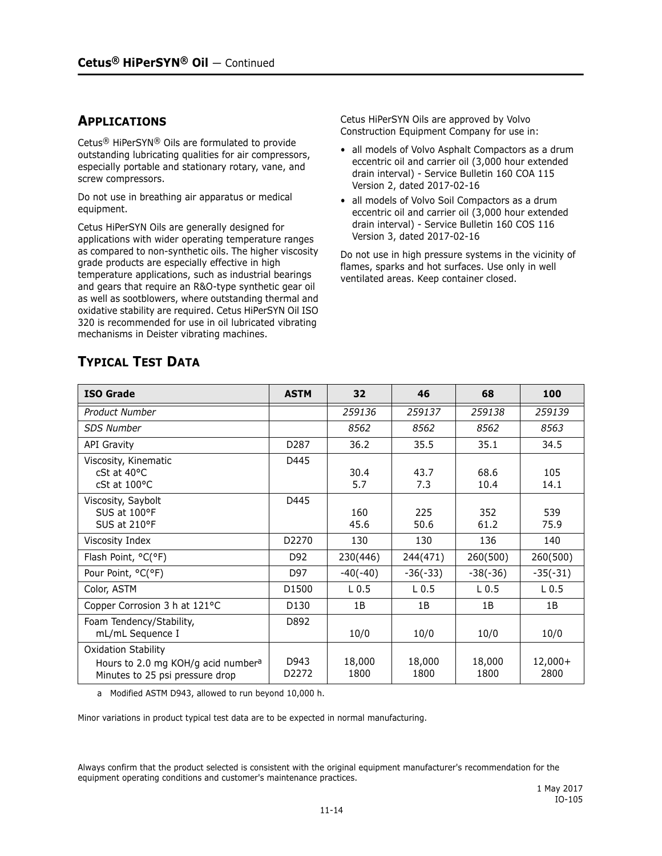### **APPLICATIONS**

Cetus® HiPerSYN® Oils are formulated to provide outstanding lubricating qualities for air compressors, especially portable and stationary rotary, vane, and screw compressors.

Do not use in breathing air apparatus or medical equipment.

Cetus HiPerSYN Oils are generally designed for applications with wider operating temperature ranges as compared to non-synthetic oils. The higher viscosity grade products are especially effective in high temperature applications, such as industrial bearings and gears that require an R&O-type synthetic gear oil as well as sootblowers, where outstanding thermal and oxidative stability are required. Cetus HiPerSYN Oil ISO 320 is recommended for use in oil lubricated vibrating mechanisms in Deister vibrating machines.

Cetus HiPerSYN Oils are approved by Volvo Construction Equipment Company for use in:

- all models of Volvo Asphalt Compactors as a drum eccentric oil and carrier oil (3,000 hour extended drain interval) - Service Bulletin 160 COA 115 Version 2, dated 2017-02-16
- all models of Volvo Soil Compactors as a drum eccentric oil and carrier oil (3,000 hour extended drain interval) - Service Bulletin 160 COS 116 Version 3, dated 2017-02-16

Do not use in high pressure systems in the vicinity of flames, sparks and hot surfaces. Use only in well ventilated areas. Keep container closed.

| <b>ISO Grade</b>                                                                                                | <b>ASTM</b>   | 32               | 46               | 68               | 100               |
|-----------------------------------------------------------------------------------------------------------------|---------------|------------------|------------------|------------------|-------------------|
| <b>Product Number</b>                                                                                           |               | 259136           | 259137           | 259138           | 259139            |
| <b>SDS Number</b>                                                                                               |               | 8562             | 8562             | 8562             | 8563              |
| <b>API Gravity</b>                                                                                              | D287          | 36.2             | 35.5             | 35.1             | 34.5              |
| Viscosity, Kinematic<br>$cSt$ at $40^{\circ}C$<br>$cSt$ at $100^{\circ}C$                                       | D445          | 30.4<br>5.7      | 43.7<br>7.3      | 68.6<br>10.4     | 105<br>14.1       |
| Viscosity, Saybolt<br>SUS at 100°F<br>SUS at 210°F                                                              | D445          | 160<br>45.6      | 225<br>50.6      | 352<br>61.2      | 539<br>75.9       |
| Viscosity Index                                                                                                 | D2270         | 130              | 130              | 136              | 140               |
| Flash Point, °C(°F)                                                                                             | D92           | 230(446)         | 244(471)         | 260(500)         | 260(500)          |
| Pour Point, °C(°F)                                                                                              | D97           | $-40(-40)$       | $-36(-33)$       | $-38(-36)$       | $-35(-31)$        |
| Color, ASTM                                                                                                     | D1500         | L <sub>0.5</sub> | L <sub>0.5</sub> | L <sub>0.5</sub> | L <sub>0.5</sub>  |
| Copper Corrosion 3 h at 121°C                                                                                   | D130          | 1B               | 1B               | 1B               | 1B                |
| Foam Tendency/Stability,<br>mL/mL Sequence I                                                                    | D892          | 10/0             | 10/0             | 10/0             | 10/0              |
| <b>Oxidation Stability</b><br>Hours to 2.0 mg KOH/g acid number <sup>a</sup><br>Minutes to 25 psi pressure drop | D943<br>D2272 | 18,000<br>1800   | 18,000<br>1800   | 18,000<br>1800   | $12,000+$<br>2800 |

## **TYPICAL TEST DATA**

a Modified ASTM D943, allowed to run beyond 10,000 h.

Minor variations in product typical test data are to be expected in normal manufacturing.

Always confirm that the product selected is consistent with the original equipment manufacturer's recommendation for the equipment operating conditions and customer's maintenance practices.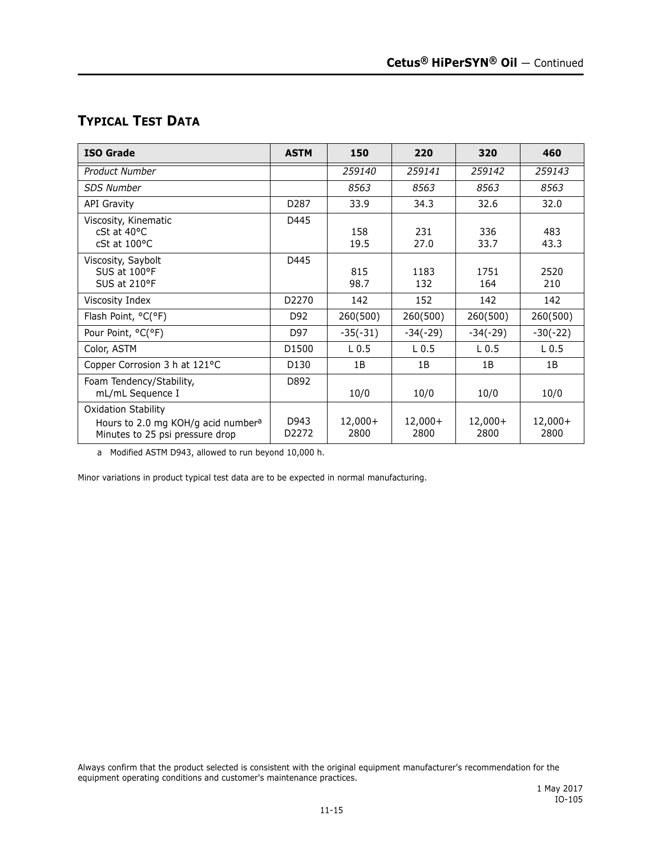# **TYPICAL TEST DATA**

| <b>ISO Grade</b>                                                                                                | <b>ASTM</b>      | 150               | 220               | 320               | 460               |
|-----------------------------------------------------------------------------------------------------------------|------------------|-------------------|-------------------|-------------------|-------------------|
| Product Number                                                                                                  |                  | 259140            | 259141            | 259142            | 259143            |
| <b>SDS Number</b>                                                                                               |                  | 8563              | 8563              | 8563              | 8563              |
| <b>API Gravity</b>                                                                                              | D <sub>287</sub> | 33.9              | 34.3              | 32.6              | 32.0              |
| Viscosity, Kinematic<br>$cSt$ at $40^{\circ}C$<br>$cSt$ at $100^{\circ}C$                                       | D445             | 158<br>19.5       | 231<br>27.0       | 336<br>33.7       | 483<br>43.3       |
| Viscosity, Saybolt<br>SUS at 100°F<br>SUS at 210°F                                                              | D445             | 815<br>98.7       | 1183<br>132       | 1751<br>164       | 2520<br>210       |
| Viscosity Index                                                                                                 | D2270            | 142               | 152               | 142               | 142               |
| Flash Point, °C(°F)                                                                                             | D92              | 260(500)          | 260(500)          | 260(500)          | 260(500)          |
| Pour Point, °C(°F)                                                                                              | D97              | $-35(-31)$        | $-34(-29)$        | $-34(-29)$        | $-30(-22)$        |
| Color, ASTM                                                                                                     | D1500            | L <sub>0.5</sub>  | L <sub>0.5</sub>  | L <sub>0.5</sub>  | L <sub>0.5</sub>  |
| Copper Corrosion 3 h at 121°C                                                                                   | D130             | 1B                | 1B                | 1B                | 1B                |
| Foam Tendency/Stability,<br>mL/mL Sequence I                                                                    | D892             | 10/0              | 10/0              | 10/0              | 10/0              |
| <b>Oxidation Stability</b><br>Hours to 2.0 mg KOH/g acid number <sup>a</sup><br>Minutes to 25 psi pressure drop | D943<br>D2272    | $12,000+$<br>2800 | $12,000+$<br>2800 | $12,000+$<br>2800 | $12,000+$<br>2800 |

a Modified ASTM D943, allowed to run beyond 10,000 h.

Minor variations in product typical test data are to be expected in normal manufacturing.

Always confirm that the product selected is consistent with the original equipment manufacturer's recommendation for the equipment operating conditions and customer's maintenance practices.